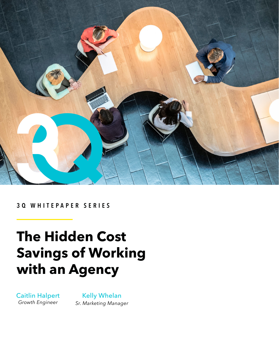

## **3Q WHITEPAPER SERIES**

## **The Hidden Cost Savings of Working with an Agency**

Caitlin Halpert *Growth Engineer*

## Kelly Whelan *Sr. Marketing Manager*